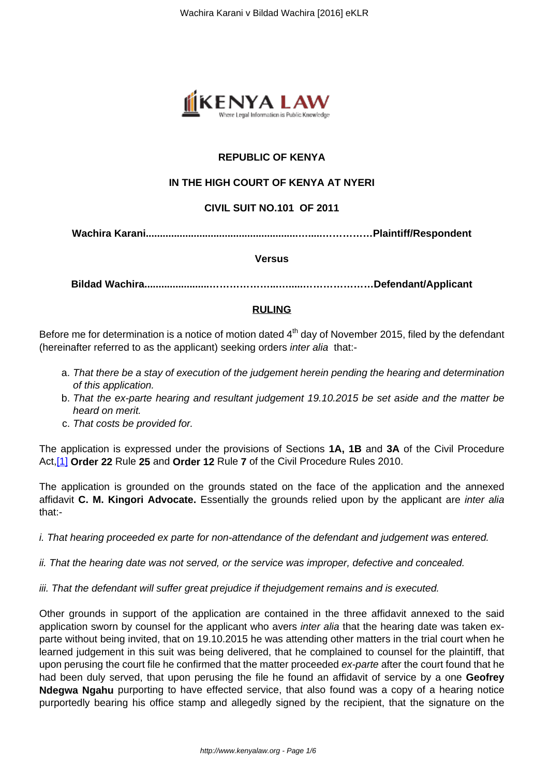

# **REPUBLIC OF KENYA**

## **IN THE HIGH COURT OF KENYA AT NYERI**

### **CIVIL SUIT NO.101 OF 2011**

**Wachira Karani......................................................….....……………Plaintiff/Respondent**

#### **Versus**

**Bildad Wachira.......................………………...….....…………………Defendant/Applicant**

#### **RULING**

Before me for determination is a notice of motion dated  $4<sup>th</sup>$  day of November 2015, filed by the defendant (hereinafter referred to as the applicant) seeking orders inter alia that:-

- a. That there be a stay of execution of the judgement herein pending the hearing and determination of this application.
- b. That the ex-parte hearing and resultant judgement 19.10.2015 be set aside and the matter be heard on merit.
- c. That costs be provided for.

The application is expressed under the provisions of Sections **1A, 1B** and **3A** of the Civil Procedure Act,[1] **Order 22** Rule **25** and **Order 12** Rule **7** of the Civil Procedure Rules 2010.

The application is grounded on the grounds stated on the face of the application and the annexed affidavit **C. M. Kingori Advocate.** Essentially the grounds relied upon by the applicant are inter alia that:-

i. That hearing proceeded ex parte for non-attendance of the defendant and judgement was entered.

- ii. That the hearing date was not served, or the service was improper, defective and concealed.
- iii. That the defendant will suffer great prejudice if thejudgement remains and is executed.

Other grounds in support of the application are contained in the three affidavit annexed to the said application sworn by counsel for the applicant who avers *inter alia* that the hearing date was taken exparte without being invited, that on 19.10.2015 he was attending other matters in the trial court when he learned judgement in this suit was being delivered, that he complained to counsel for the plaintiff, that upon perusing the court file he confirmed that the matter proceeded ex-parte after the court found that he had been duly served, that upon perusing the file he found an affidavit of service by a one **Geofrey Ndegwa Ngahu** purporting to have effected service, that also found was a copy of a hearing notice purportedly bearing his office stamp and allegedly signed by the recipient, that the signature on the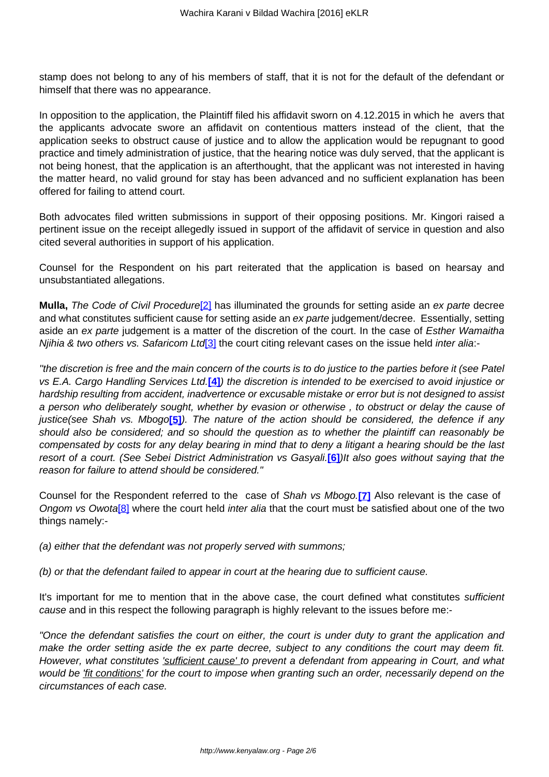stamp does not belong to any of his members of staff, that it is not for the default of the defendant or himself that there was no appearance.

In opposition to the application, the Plaintiff filed his affidavit sworn on 4.12.2015 in which he avers that the applicants advocate swore an affidavit on contentious matters instead of the client, that the application seeks to obstruct cause of justice and to allow the application would be repugnant to good practice and timely administration of justice, that the hearing notice was duly served, that the applicant is not being honest, that the application is an afterthought, that the applicant was not interested in having the matter heard, no valid ground for stay has been advanced and no sufficient explanation has been offered for failing to attend court.

Both advocates filed written submissions in support of their opposing positions. Mr. Kingori raised a pertinent issue on the receipt allegedly issued in support of the affidavit of service in question and also cited several authorities in support of his application.

Counsel for the Respondent on his part reiterated that the application is based on hearsay and unsubstantiated allegations.

**Mulla,** The Code of Civil Procedure<sup>[2]</sup> has illuminated the grounds for setting aside an ex parte decree and what constitutes sufficient cause for setting aside an ex parte judgement/decree. Essentially, setting aside an ex parte judgement is a matter of the discretion of the court. In the case of Esther Wamaitha Njihia & two others vs. Safaricom Ltd<sup>[3]</sup> the court citing relevant cases on the issue held inter alia:-

''the discretion is free and the main concern of the courts is to do justice to the parties before it (see Patel vs E.A. Cargo Handling Services Ltd.**[4]**) the discretion is intended to be exercised to avoid injustice or hardship resulting from accident, inadvertence or excusable mistake or error but is not designed to assist a person who deliberately sought, whether by evasion or otherwise , to obstruct or delay the cause of justice(see Shah vs. Mbogo**[5]**). The nature of the action should be considered, the defence if any should also be considered; and so should the question as to whether the plaintiff can reasonably be compensated by costs for any delay bearing in mind that to deny a litigant a hearing should be the last resort of a court. (See Sebei District Administration vs Gasyali.**[6]**)It also goes without saying that the reason for failure to attend should be considered."

Counsel for the Respondent referred to the case of Shah vs Mbogo.**[7]** Also relevant is the case of Ongom vs Owota<sup>[8]</sup> where the court held inter alia that the court must be satisfied about one of the two things namely:-

(a) either that the defendant was not properly served with summons;

(b) or that the defendant failed to appear in court at the hearing due to sufficient cause.

It's important for me to mention that in the above case, the court defined what constitutes sufficient cause and in this respect the following paragraph is highly relevant to the issues before me:-

"Once the defendant satisfies the court on either, the court is under duty to grant the application and make the order setting aside the ex parte decree, subject to any conditions the court may deem fit. However, what constitutes *'sufficient cause'* to prevent a defendant from appearing in Court, and what would be 'fit conditions' for the court to impose when granting such an order, necessarily depend on the circumstances of each case.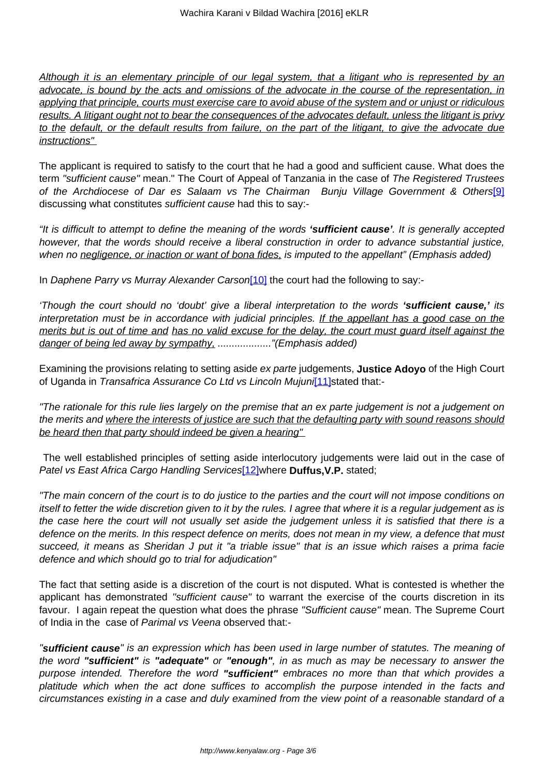Although it is an elementary principle of our legal system, that a litigant who is represented by an advocate, is bound by the acts and omissions of the advocate in the course of the representation, in applying that principle, courts must exercise care to avoid abuse of the system and or unjust or ridiculous results. A litigant ought not to bear the consequences of the advocates default, unless the litigant is privy to the default, or the default results from failure, on the part of the litigant, to give the advocate due instructions"

The applicant is required to satisfy to the court that he had a good and sufficient cause. What does the term "sufficient cause" mean." The Court of Appeal of Tanzania in the case of The Registered Trustees of the Archdiocese of Dar es Salaam vs The Chairman Bunju Village Government & Others<sup>[9]</sup> discussing what constitutes sufficient cause had this to say:-

"It is difficult to attempt to define the meaning of the words **'sufficient cause'**. It is generally accepted however, that the words should receive a liberal construction in order to advance substantial justice, when no negligence, or inaction or want of bona fides, is imputed to the appellant" (Emphasis added)

In Daphene Parry vs Murray Alexander Carson<sup>[10]</sup> the court had the following to say:-

'Though the court should no 'doubt' give a liberal interpretation to the words **'sufficient cause,'** its interpretation must be in accordance with judicial principles. If the appellant has a good case on the merits but is out of time and has no valid excuse for the delay, the court must guard itself against the danger of being led away by sympathy, ..................."(Emphasis added)

Examining the provisions relating to setting aside ex parte judgements, **Justice Adoyo** of the High Court of Uganda in Transafrica Assurance Co Ltd vs Lincoln Mujuni[11]stated that:-

"The rationale for this rule lies largely on the premise that an ex parte judgement is not a judgement on the merits and where the interests of justice are such that the defaulting party with sound reasons should be heard then that party should indeed be given a hearing"

The well established principles of setting aside interlocutory judgements were laid out in the case of Patel vs East Africa Cargo Handling Services[12]where **Duffus,V.P.** stated;

"The main concern of the court is to do justice to the parties and the court will not impose conditions on itself to fetter the wide discretion given to it by the rules. I agree that where it is a regular judgement as is the case here the court will not usually set aside the judgement unless it is satisfied that there is a defence on the merits. In this respect defence on merits, does not mean in my view, a defence that must succeed, it means as Sheridan J put it "a triable issue" that is an issue which raises a prima facie defence and which should go to trial for adjudication"

The fact that setting aside is a discretion of the court is not disputed. What is contested is whether the applicant has demonstrated "sufficient cause" to warrant the exercise of the courts discretion in its favour. I again repeat the question what does the phrase "Sufficient cause" mean. The Supreme Court of India in the case of Parimal vs Veena observed that:-

"**sufficient cause**" is an expression which has been used in large number of statutes. The meaning of the word **"sufficient"** is **"adequate"** or **"enough"**, in as much as may be necessary to answer the purpose intended. Therefore the word **"sufficient"** embraces no more than that which provides a platitude which when the act done suffices to accomplish the purpose intended in the facts and circumstances existing in a case and duly examined from the view point of a reasonable standard of a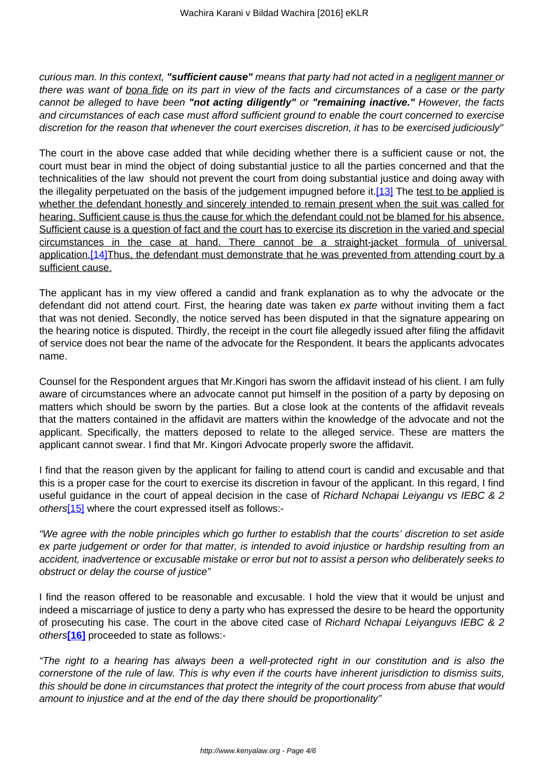curious man. In this context, **"sufficient cause"** means that party had not acted in a negligent manner or there was want of bona fide on its part in view of the facts and circumstances of a case or the party cannot be alleged to have been **"not acting diligently"** or **"remaining inactive."** However, the facts and circumstances of each case must afford sufficient ground to enable the court concerned to exercise discretion for the reason that whenever the court exercises discretion, it has to be exercised judiciously"

The court in the above case added that while deciding whether there is a sufficient cause or not, the court must bear in mind the object of doing substantial justice to all the parties concerned and that the technicalities of the law should not prevent the court from doing substantial justice and doing away with the illegality perpetuated on the basis of the judgement impugned before it.[13] The test to be applied is whether the defendant honestly and sincerely intended to remain present when the suit was called for hearing. Sufficient cause is thus the cause for which the defendant could not be blamed for his absence. Sufficient cause is a question of fact and the court has to exercise its discretion in the varied and special circumstances in the case at hand. There cannot be a straight-jacket formula of universal application.<sup>[14]</sup>Thus, the defendant must demonstrate that he was prevented from attending court by a sufficient cause.

The applicant has in my view offered a candid and frank explanation as to why the advocate or the defendant did not attend court. First, the hearing date was taken ex parte without inviting them a fact that was not denied. Secondly, the notice served has been disputed in that the signature appearing on the hearing notice is disputed. Thirdly, the receipt in the court file allegedly issued after filing the affidavit of service does not bear the name of the advocate for the Respondent. It bears the applicants advocates name.

Counsel for the Respondent argues that Mr.Kingori has sworn the affidavit instead of his client. I am fully aware of circumstances where an advocate cannot put himself in the position of a party by deposing on matters which should be sworn by the parties. But a close look at the contents of the affidavit reveals that the matters contained in the affidavit are matters within the knowledge of the advocate and not the applicant. Specifically, the matters deposed to relate to the alleged service. These are matters the applicant cannot swear. I find that Mr. Kingori Advocate properly swore the affidavit.

I find that the reason given by the applicant for failing to attend court is candid and excusable and that this is a proper case for the court to exercise its discretion in favour of the applicant. In this regard, I find useful guidance in the court of appeal decision in the case of Richard Nchapai Leiyangu vs IEBC & 2 others<sup>[15]</sup> where the court expressed itself as follows:-

"We agree with the noble principles which go further to establish that the courts' discretion to set aside ex parte judgement or order for that matter, is intended to avoid injustice or hardship resulting from an accident, inadvertence or excusable mistake or error but not to assist a person who deliberately seeks to obstruct or delay the course of justice"

I find the reason offered to be reasonable and excusable. I hold the view that it would be unjust and indeed a miscarriage of justice to deny a party who has expressed the desire to be heard the opportunity of prosecuting his case. The court in the above cited case of Richard Nchapai Leiyanguvs IEBC & 2 others**[16]** proceeded to state as follows:-

"The right to a hearing has always been a well-protected right in our constitution and is also the cornerstone of the rule of law. This is why even if the courts have inherent jurisdiction to dismiss suits, this should be done in circumstances that protect the integrity of the court process from abuse that would amount to injustice and at the end of the day there should be proportionality"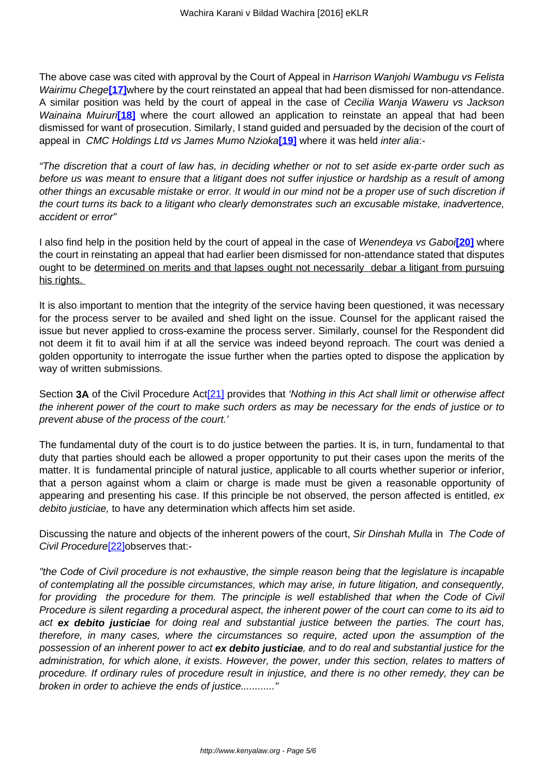The above case was cited with approval by the Court of Appeal in Harrison Waniohi Wambugu vs Felista Wairimu Chege**[17]**where by the court reinstated an appeal that had been dismissed for non-attendance. A similar position was held by the court of appeal in the case of Cecilia Wanja Waweru vs Jackson Wainaina Muiruri<sup>[18]</sup> where the court allowed an application to reinstate an appeal that had been dismissed for want of prosecution. Similarly, I stand guided and persuaded by the decision of the court of appeal in CMC Holdings Ltd vs James Mumo Nzioka**[19]** where it was held inter alia:-

"The discretion that a court of law has, in deciding whether or not to set aside ex-parte order such as before us was meant to ensure that a litigant does not suffer injustice or hardship as a result of among other things an excusable mistake or error. It would in our mind not be a proper use of such discretion if the court turns its back to a litigant who clearly demonstrates such an excusable mistake, inadvertence, accident or error"

I also find help in the position held by the court of appeal in the case of Wenendeya vs Gaboi**[20]** where the court in reinstating an appeal that had earlier been dismissed for non-attendance stated that disputes ought to be determined on merits and that lapses ought not necessarily debar a litigant from pursuing his rights.

It is also important to mention that the integrity of the service having been questioned, it was necessary for the process server to be availed and shed light on the issue. Counsel for the applicant raised the issue but never applied to cross-examine the process server. Similarly, counsel for the Respondent did not deem it fit to avail him if at all the service was indeed beyond reproach. The court was denied a golden opportunity to interrogate the issue further when the parties opted to dispose the application by way of written submissions.

Section **3A** of the Civil Procedure Act<sup>[21]</sup> provides that 'Nothing in this Act shall limit or otherwise affect the inherent power of the court to make such orders as may be necessary for the ends of justice or to prevent abuse of the process of the court.'

The fundamental duty of the court is to do justice between the parties. It is, in turn, fundamental to that duty that parties should each be allowed a proper opportunity to put their cases upon the merits of the matter. It is fundamental principle of natural justice, applicable to all courts whether superior or inferior, that a person against whom a claim or charge is made must be given a reasonable opportunity of appearing and presenting his case. If this principle be not observed, the person affected is entitled, ex debito justiciae, to have any determination which affects him set aside.

Discussing the nature and objects of the inherent powers of the court, Sir Dinshah Mulla in The Code of Civil Procedure<sup>[22]</sup>observes that:-

"the Code of Civil procedure is not exhaustive, the simple reason being that the legislature is incapable of contemplating all the possible circumstances, which may arise, in future litigation, and consequently, for providing the procedure for them. The principle is well established that when the Code of Civil Procedure is silent regarding a procedural aspect, the inherent power of the court can come to its aid to act **ex debito justiciae** for doing real and substantial justice between the parties. The court has, therefore, in many cases, where the circumstances so require, acted upon the assumption of the possession of an inherent power to act **ex debito justiciae**, and to do real and substantial justice for the administration, for which alone, it exists. However, the power, under this section, relates to matters of procedure. If ordinary rules of procedure result in injustice, and there is no other remedy, they can be broken in order to achieve the ends of justice............"